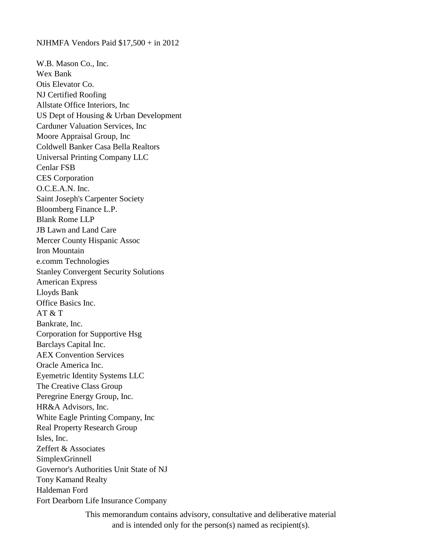NJHMFA Vendors Paid \$17,500 + in 2012

W.B. Mason Co., Inc. Wex Bank Otis Elevator Co. NJ Certified Roofing Allstate Office Interiors, Inc US Dept of Housing & Urban Development Carduner Valuation Services, Inc Moore Appraisal Group, Inc Coldwell Banker Casa Bella Realtors Universal Printing Company LLC Cenlar FSB CES Corporation O.C.E.A.N. Inc. Saint Joseph's Carpenter Society Bloomberg Finance L.P. Blank Rome LLP JB Lawn and Land Care Mercer County Hispanic Assoc Iron Mountain e.comm Technologies Stanley Convergent Security Solutions American Express Lloyds Bank Office Basics Inc.  $AT & T$ Bankrate, Inc. Corporation for Supportive Hsg Barclays Capital Inc. AEX Convention Services Oracle America Inc. Eyemetric Identity Systems LLC The Creative Class Group Peregrine Energy Group, Inc. HR&A Advisors, Inc. White Eagle Printing Company, Inc Real Property Research Group Isles, Inc. Zeffert & Associates SimplexGrinnell Governor's Authorities Unit State of NJ Tony Kamand Realty Haldeman Ford Fort Dearborn Life Insurance Company

> This memorandum contains advisory, consultative and deliberative material and is intended only for the person(s) named as recipient(s).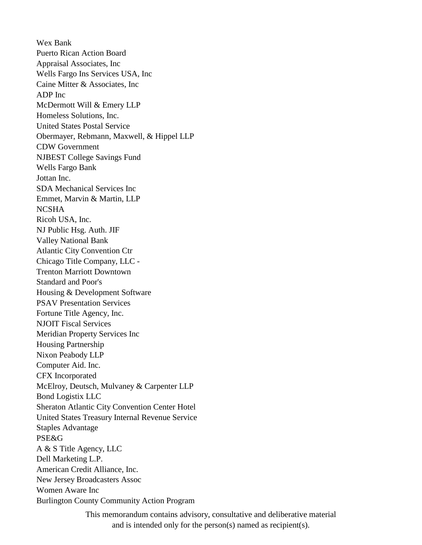Wex Bank Puerto Rican Action Board Appraisal Associates, Inc Wells Fargo Ins Services USA, Inc Caine Mitter & Associates, Inc ADP Inc McDermott Will & Emery LLP Homeless Solutions, Inc. United States Postal Service Obermayer, Rebmann, Maxwell, & Hippel LLP CDW Government NJBEST College Savings Fund Wells Fargo Bank Jottan Inc. SDA Mechanical Services Inc Emmet, Marvin & Martin, LLP NCSHA Ricoh USA, Inc. NJ Public Hsg. Auth. JIF Valley National Bank Atlantic City Convention Ctr Chicago Title Company, LLC - Trenton Marriott Downtown Standard and Poor's Housing & Development Software PSAV Presentation Services Fortune Title Agency, Inc. NJOIT Fiscal Services Meridian Property Services Inc Housing Partnership Nixon Peabody LLP Computer Aid. Inc. CFX Incorporated McElroy, Deutsch, Mulvaney & Carpenter LLP Bond Logistix LLC Sheraton Atlantic City Convention Center Hotel United States Treasury Internal Revenue Service Staples Advantage PSE&G A & S Title Agency, LLC Dell Marketing L.P. American Credit Alliance, Inc. New Jersey Broadcasters Assoc Women Aware Inc Burlington County Community Action Program

> This memorandum contains advisory, consultative and deliberative material and is intended only for the person(s) named as recipient(s).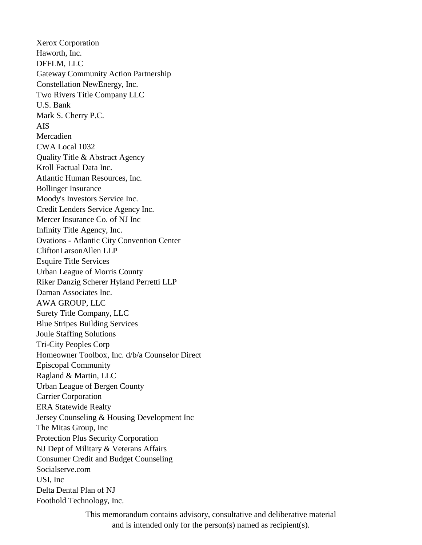Xerox Corporation Haworth, Inc. DFFLM, LLC Gateway Community Action Partnership Constellation NewEnergy, Inc. Two Rivers Title Company LLC U.S. Bank Mark S. Cherry P.C. AIS Mercadien CWA Local 1032 Quality Title & Abstract Agency Kroll Factual Data Inc. Atlantic Human Resources, Inc. Bollinger Insurance Moody's Investors Service Inc. Credit Lenders Service Agency Inc. Mercer Insurance Co. of NJ Inc Infinity Title Agency, Inc. Ovations - Atlantic City Convention Center CliftonLarsonAllen LLP Esquire Title Services Urban League of Morris County Riker Danzig Scherer Hyland Perretti LLP Daman Associates Inc. AWA GROUP, LLC Surety Title Company, LLC Blue Stripes Building Services Joule Staffing Solutions Tri-City Peoples Corp Homeowner Toolbox, Inc. d/b/a Counselor Direct Episcopal Community Ragland & Martin, LLC Urban League of Bergen County Carrier Corporation ERA Statewide Realty Jersey Counseling & Housing Development Inc The Mitas Group, Inc Protection Plus Security Corporation NJ Dept of Military & Veterans Affairs Consumer Credit and Budget Counseling Socialserve.com USI, Inc Delta Dental Plan of NJ Foothold Technology, Inc.

> This memorandum contains advisory, consultative and deliberative material and is intended only for the person(s) named as recipient(s).